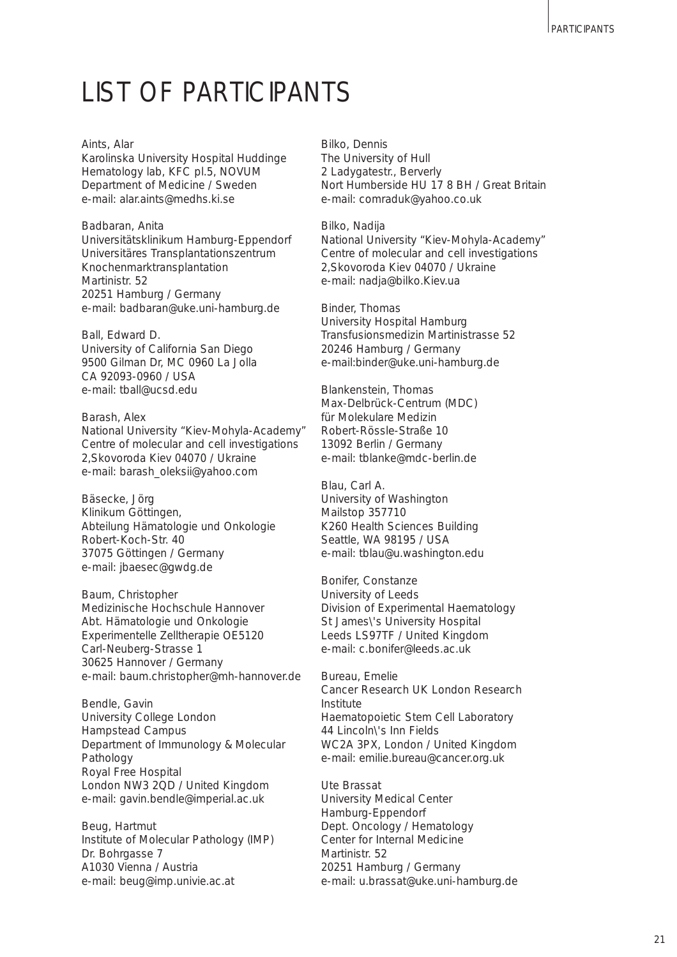## LIST OF PARTICIPANTS

## Aints, Alar Karolinska University Hospital Huddinge Hematology lab, KFC pl.5, NOVUM Department of Medicine / Sweden e-mail: alar.aints@medhs.ki.se

Badbaran, Anita Universitätsklinikum Hamburg-Eppendorf Universitäres Transplantationszentrum Knochenmarktransplantation Martinistr. 52 20251 Hamburg / Germany e-mail: badbaran@uke.uni-hamburg.de

Ball, Edward D. University of California San Diego 9500 Gilman Dr, MC 0960 La Jolla CA 92093-0960 / USA e-mail: tball@ucsd.edu

Barash, Alex National University "Kiev-Mohyla-Academy" Centre of molecular and cell investigations 2,Skovoroda Kiev 04070 / Ukraine e-mail: barash\_oleksii@yahoo.com

Bäsecke, Jörg Klinikum Göttingen, Abteilung Hämatologie und Onkologie Robert-Koch-Str. 40 37075 Göttingen / Germany e-mail: jbaesec@gwdg.de

Baum, Christopher Medizinische Hochschule Hannover Abt. Hämatologie und Onkologie Experimentelle Zelltherapie OE5120 Carl-Neuberg-Strasse 1 30625 Hannover / Germany e-mail: baum.christopher@mh-hannover.de

Bendle, Gavin University College London Hampstead Campus Department of Immunology & Molecular Pathology Royal Free Hospital London NW3 2QD / United Kingdom e-mail: gavin.bendle@imperial.ac.uk

Beug, Hartmut Institute of Molecular Pathology (IMP) Dr. Bohrgasse 7 A1030 Vienna / Austria e-mail: beug@imp.univie.ac.at

Bilko, Dennis The University of Hull 2 Ladygatestr., Berverly Nort Humberside HU 17 8 BH / Great Britain e-mail: comraduk@yahoo.co.uk

Bilko, Nadija National University "Kiev-Mohyla-Academy" Centre of molecular and cell investigations 2,Skovoroda Kiev 04070 / Ukraine e-mail: nadja@bilko.Kiev.ua

Binder, Thomas University Hospital Hamburg Transfusionsmedizin Martinistrasse 52 20246 Hamburg / Germany e-mail:binder@uke.uni-hamburg.de

Blankenstein, Thomas Max-Delbrück-Centrum (MDC) für Molekulare Medizin Robert-Rössle-Straße 10 13092 Berlin / Germany e-mail: tblanke@mdc-berlin.de

Blau, Carl A. University of Washington Mailstop 357710 K260 Health Sciences Building Seattle, WA 98195 / USA e-mail: tblau@u.washington.edu

Bonifer, Constanze University of Leeds Division of Experimental Haematology St James\'s University Hospital Leeds LS97TF / United Kingdom e-mail: c.bonifer@leeds.ac.uk

Bureau, Emelie Cancer Research UK London Research Institute Haematopoietic Stem Cell Laboratory 44 Lincoln\'s Inn Fields WC2A 3PX, London / United Kingdom e-mail: emilie.bureau@cancer.org.uk

Ute Brassat University Medical Center Hamburg-Eppendorf Dept. Oncology / Hematology Center for Internal Medicine Martinistr. 52 20251 Hamburg / Germany e-mail: u.brassat@uke.uni-hamburg.de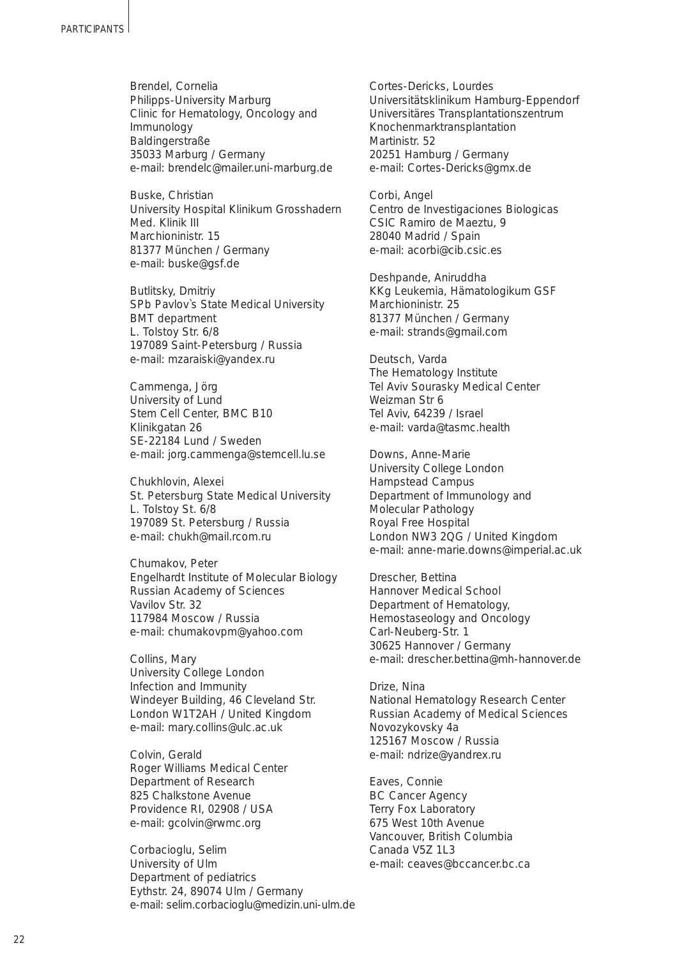Brendel, Cornelia Philipps-University Marburg Clinic for Hematology, Oncology and Immunology Baldingerstraße 35033 Marburg / Germany e-mail: brendelc@mailer.uni-marburg.de

Buske, Christian University Hospital Klinikum Grosshadern Med. Klinik III Marchioninistr. 15 81377 München / Germany e-mail: buske@gsf.de

Butlitsky, Dmitriy SPb Pavlov's State Medical University BMT department L. Tolstoy Str. 6/8 197089 Saint-Petersburg / Russia e-mail: mzaraiski@yandex.ru

Cammenga, Jörg University of Lund Stem Cell Center, BMC B10 Klinikgatan 26 SE-22184 Lund / Sweden e-mail: jorg.cammenga@stemcell.lu.se

Chukhlovin, Alexei St. Petersburg State Medical University L. Tolstoy St. 6/8 197089 St. Petersburg / Russia e-mail: chukh@mail.rcom.ru

Chumakov, Peter Engelhardt Institute of Molecular Biology Russian Academy of Sciences Vavilov Str. 32 117984 Moscow / Russia e-mail: chumakovpm@yahoo.com

Collins, Mary University College London Infection and Immunity Windeyer Building, 46 Cleveland Str. London W1T2AH / United Kingdom e-mail: mary.collins@ulc.ac.uk

Colvin, Gerald Roger Williams Medical Center Department of Research 825 Chalkstone Avenue Providence RI, 02908 / USA e-mail: gcolvin@rwmc.org

Corbacioglu, Selim University of Ulm Department of pediatrics Eythstr. 24, 89074 Ulm / Germany e-mail: selim.corbacioglu@medizin.uni-ulm.de

Cortes-Dericks, Lourdes Universitätsklinikum Hamburg-Eppendorf Universitäres Transplantationszentrum Knochenmarktransplantation Martinistr. 52 20251 Hamburg / Germany e-mail: Cortes-Dericks@gmx.de

Corbi, Angel Centro de Investigaciones Biologicas CSIC Ramiro de Maeztu, 9 28040 Madrid / Spain e-mail: acorbi@cib.csic.es

Deshpande, Aniruddha KKg Leukemia, Hämatologikum GSF Marchioninistr. 25 81377 München / Germany e-mail: strands@gmail.com

Deutsch, Varda The Hematology Institute Tel Aviv Sourasky Medical Center Weizman Str 6 Tel Aviv, 64239 / Israel e-mail: varda@tasmc.health

Downs, Anne-Marie University College London Hampstead Campus Department of Immunology and Molecular Pathology Royal Free Hospital London NW3 2QG / United Kingdom e-mail: anne-marie.downs@imperial.ac.uk

Drescher, Bettina Hannover Medical School Department of Hematology, Hemostaseology and Oncology Carl-Neuberg-Str. 1 30625 Hannover / Germany e-mail: drescher.bettina@mh-hannover.de

Drize, Nina National Hematology Research Center Russian Academy of Medical Sciences Novozykovsky 4a 125167 Moscow / Russia e-mail: ndrize@yandrex.ru

Eaves, Connie BC Cancer Agency Terry Fox Laboratory 675 West 10th Avenue Vancouver, British Columbia Canada V5Z 1L3 e-mail: ceaves@bccancer.bc.ca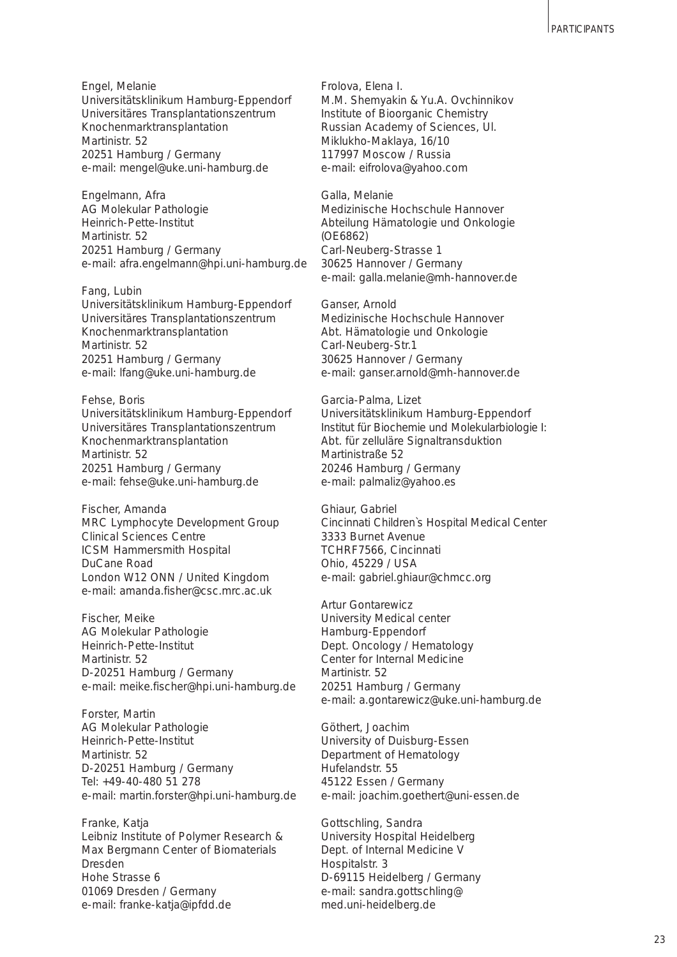Engel, Melanie Universitätsklinikum Hamburg-Eppendorf Universitäres Transplantationszentrum Knochenmarktransplantation Martinistr. 52 20251 Hamburg / Germany e-mail: mengel@uke.uni-hamburg.de

Engelmann, Afra AG Molekular Pathologie Heinrich-Pette-Institut Martinistr. 52 20251 Hamburg / Germany e-mail: afra.engelmann@hpi.uni-hamburg.de

Fang, Lubin Universitätsklinikum Hamburg-Eppendorf Universitäres Transplantationszentrum Knochenmarktransplantation Martinistr. 52 20251 Hamburg / Germany e-mail: lfang@uke.uni-hamburg.de

Fehse, Boris Universitätsklinikum Hamburg-Eppendorf Universitäres Transplantationszentrum Knochenmarktransplantation Martinistr. 52 20251 Hamburg / Germany e-mail: fehse@uke.uni-hamburg.de

Fischer, Amanda MRC Lymphocyte Development Group Clinical Sciences Centre ICSM Hammersmith Hospital DuCane Road London W12 ONN / United Kingdom e-mail: amanda.fisher@csc.mrc.ac.uk

Fischer, Meike AG Molekular Pathologie Heinrich-Pette-Institut Martinistr. 52 D-20251 Hamburg / Germany e-mail: meike.fischer@hpi.uni-hamburg.de

Forster, Martin AG Molekular Pathologie Heinrich-Pette-Institut Martinistr. 52 D-20251 Hamburg / Germany Tel: +49-40-480 51 278 e-mail: martin.forster@hpi.uni-hamburg.de

Franke, Katja Leibniz Institute of Polymer Research & Max Bergmann Center of Biomaterials Dresden Hohe Strasse 6 01069 Dresden / Germany e-mail: franke-katja@ipfdd.de

Frolova, Elena I. M.M. Shemyakin & Yu.A. Ovchinnikov Institute of Bioorganic Chemistry Russian Academy of Sciences, Ul. Miklukho-Maklaya, 16/10 117997 Moscow / Russia e-mail: eifrolova@yahoo.com

Galla, Melanie Medizinische Hochschule Hannover Abteilung Hämatologie und Onkologie (OE6862) Carl-Neuberg-Strasse 1 30625 Hannover / Germany e-mail: galla.melanie@mh-hannover.de

Ganser, Arnold Medizinische Hochschule Hannover Abt. Hämatologie und Onkologie Carl-Neuberg-Str.1 30625 Hannover / Germany e-mail: ganser.arnold@mh-hannover.de

Garcia-Palma, Lizet Universitätsklinikum Hamburg-Eppendorf Institut für Biochemie und Molekularbiologie I: Abt. für zelluläre Signaltransduktion Martinistraße 52 20246 Hamburg / Germany e-mail: palmaliz@yahoo.es

Ghiaur, Gabriel Cincinnati Children`s Hospital Medical Center 3333 Burnet Avenue TCHRF7566, Cincinnati Ohio, 45229 / USA e-mail: gabriel.ghiaur@chmcc.org

Artur Gontarewicz University Medical center Hamburg-Eppendorf Dept. Oncology / Hematology Center for Internal Medicine Martinistr. 52 20251 Hamburg / Germany e-mail: a.gontarewicz@uke.uni-hamburg.de

Göthert, Joachim University of Duisburg-Essen Department of Hematology Hufelandstr. 55 45122 Essen / Germany e-mail: joachim.goethert@uni-essen.de

Gottschling, Sandra University Hospital Heidelberg Dept. of Internal Medicine V Hospitalstr. 3 D-69115 Heidelberg / Germany e-mail: sandra.gottschling@ med.uni-heidelberg.de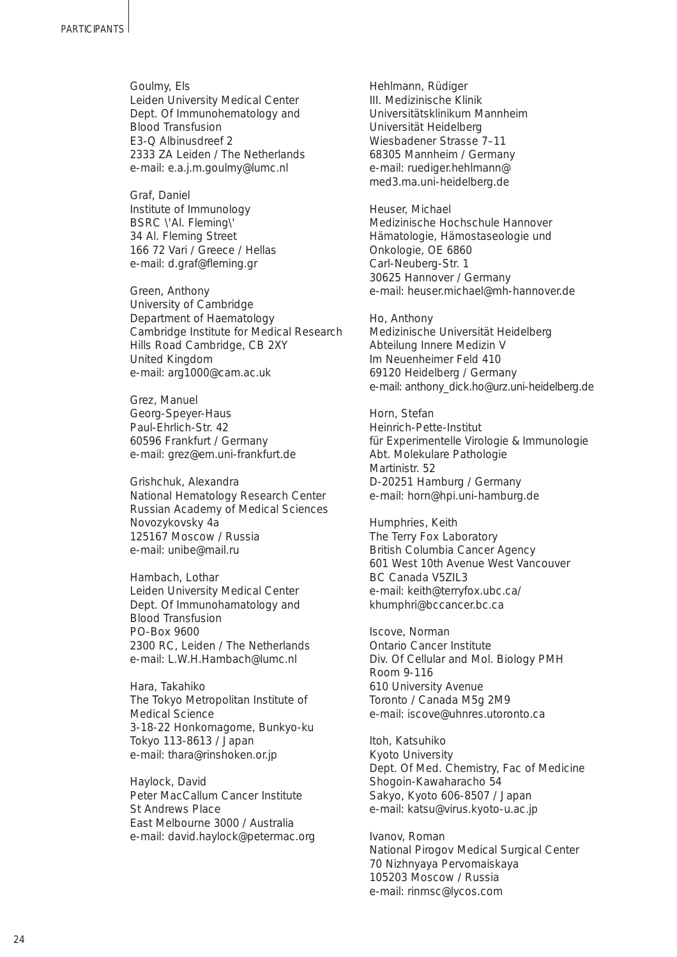Goulmy, Els Leiden University Medical Center Dept. Of Immunohematology and Blood Transfusion E3-Q Albinusdreef 2 2333 ZA Leiden / The Netherlands e-mail: e.a.j.m.goulmy@lumc.nl

Graf, Daniel Institute of Immunology BSRC \'Al. Fleming\' 34 Al. Fleming Street 166 72 Vari / Greece / Hellas e-mail: d.graf@fleming.gr

Green, Anthony University of Cambridge Department of Haematology Cambridge Institute for Medical Research Hills Road Cambridge, CB 2XY United Kingdom e-mail: arg1000@cam.ac.uk

Grez, Manuel Georg-Speyer-Haus Paul-Ehrlich-Str. 42 60596 Frankfurt / Germany e-mail: grez@em.uni-frankfurt.de

Grishchuk, Alexandra National Hematology Research Center Russian Academy of Medical Sciences Novozykovsky 4a 125167 Moscow / Russia e-mail: unibe@mail.ru

Hambach, Lothar Leiden University Medical Center Dept. Of Immunohamatology and Blood Transfusion PO-Box 9600 2300 RC, Leiden / The Netherlands e-mail: L.W.H.Hambach@lumc.nl

Hara, Takahiko The Tokyo Metropolitan Institute of Medical Science 3-18-22 Honkomagome, Bunkyo-ku Tokyo 113-8613 / Japan e-mail: thara@rinshoken.or.jp

Haylock, David Peter MacCallum Cancer Institute St Andrews Place East Melbourne 3000 / Australia e-mail: david.haylock@petermac.org Hehlmann, Rüdiger III. Medizinische Klinik Universitätsklinikum Mannheim Universität Heidelberg Wiesbadener Strasse 7–11 68305 Mannheim / Germany e-mail: ruediger.hehlmann@ med3.ma.uni-heidelberg.de

Heuser, Michael Medizinische Hochschule Hannover Hämatologie, Hämostaseologie und Onkologie, OE 6860 Carl-Neuberg-Str. 1 30625 Hannover / Germany e-mail: heuser.michael@mh-hannover.de

Ho, Anthony Medizinische Universität Heidelberg Abteilung Innere Medizin V Im Neuenheimer Feld 410 69120 Heidelberg / Germany e-mail: anthony\_dick.ho@urz.uni-heidelberg.de

Horn, Stefan Heinrich-Pette-Institut für Experimentelle Virologie & Immunologie Abt. Molekulare Pathologie Martinistr. 52 D-20251 Hamburg / Germany e-mail: horn@hpi.uni-hamburg.de

Humphries, Keith The Terry Fox Laboratory British Columbia Cancer Agency 601 West 10th Avenue West Vancouver BC Canada V5ZIL3 e-mail: keith@terryfox.ubc.ca/ khumphri@bccancer.bc.ca

Iscove, Norman Ontario Cancer Institute Div. Of Cellular and Mol. Biology PMH Room 9-116 610 University Avenue Toronto / Canada M5g 2M9 e-mail: iscove@uhnres.utoronto.ca

Itoh, Katsuhiko Kyoto University Dept. Of Med. Chemistry, Fac of Medicine Shogoin-Kawaharacho 54 Sakyo, Kyoto 606-8507 / Japan e-mail: katsu@virus.kyoto-u.ac.jp

Ivanov, Roman National Pirogov Medical Surgical Center 70 Nizhnyaya Pervomaiskaya 105203 Moscow / Russia e-mail: rinmsc@lycos.com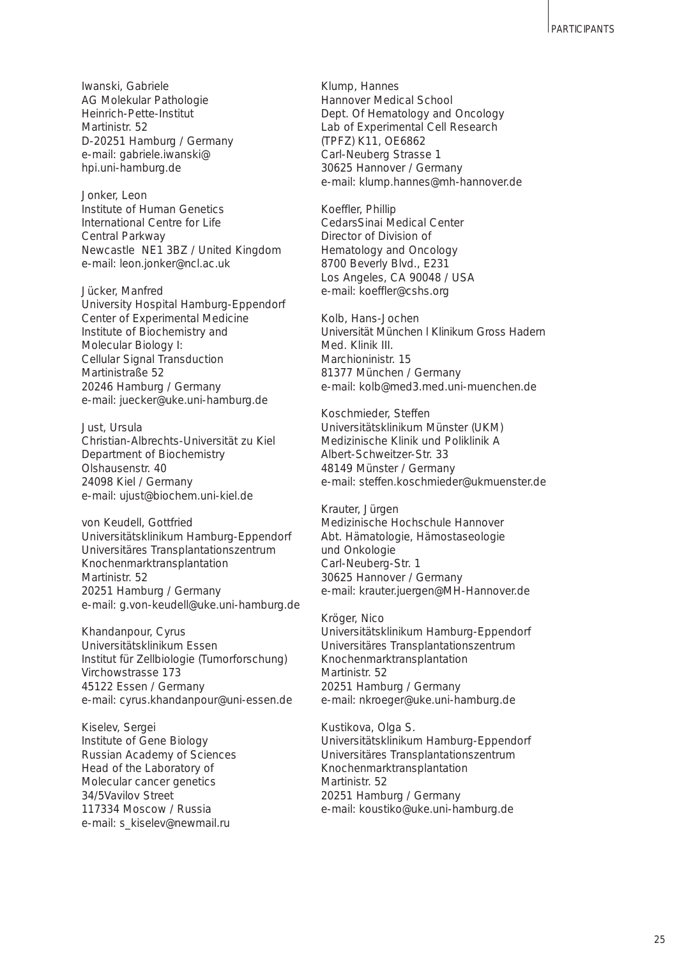Iwanski, Gabriele AG Molekular Pathologie Heinrich-Pette-Institut Martinistr. 52 D-20251 Hamburg / Germany e-mail: gabriele.iwanski@ hpi.uni-hamburg.de

Jonker, Leon Institute of Human Genetics International Centre for Life Central Parkway Newcastle NE1 3BZ / United Kingdom e-mail: leon.jonker@ncl.ac.uk

Jücker, Manfred University Hospital Hamburg-Eppendorf Center of Experimental Medicine Institute of Biochemistry and Molecular Biology I: Cellular Signal Transduction Martinistraße 52 20246 Hamburg / Germany e-mail: juecker@uke.uni-hamburg.de

Just, Ursula Christian-Albrechts-Universität zu Kiel Department of Biochemistry Olshausenstr. 40 24098 Kiel / Germany e-mail: ujust@biochem.uni-kiel.de

von Keudell, Gottfried Universitätsklinikum Hamburg-Eppendorf Universitäres Transplantationszentrum Knochenmarktransplantation Martinistr. 52 20251 Hamburg / Germany e-mail: g.von-keudell@uke.uni-hamburg.de

Khandanpour, Cyrus Universitätsklinikum Essen Institut für Zellbiologie (Tumorforschung) Virchowstrasse 173 45122 Essen / Germany e-mail: cyrus.khandanpour@uni-essen.de

Kiselev, Sergei Institute of Gene Biology Russian Academy of Sciences Head of the Laboratory of Molecular cancer genetics 34/5Vavilov Street 117334 Moscow / Russia e-mail: s\_kiselev@newmail.ru

Klump, Hannes Hannover Medical School Dept. Of Hematology and Oncology Lab of Experimental Cell Research (TPFZ) K11, OE6862 Carl-Neuberg Strasse 1 30625 Hannover / Germany e-mail: klump.hannes@mh-hannover.de

Koeffler, Phillip CedarsSinai Medical Center Director of Division of Hematology and Oncology 8700 Beverly Blvd., E231 Los Angeles, CA 90048 / USA e-mail: koeffler@cshs.org

Kolb, Hans-Jochen Universität München l Klinikum Gross Hadern Med Klinik III Marchioninistr. 15 81377 München / Germany e-mail: kolb@med3.med.uni-muenchen.de

Koschmieder, Steffen Universitätsklinikum Münster (UKM) Medizinische Klinik und Poliklinik A Albert-Schweitzer-Str. 33 48149 Münster / Germany e-mail: steffen.koschmieder@ukmuenster.de

Krauter, Jürgen Medizinische Hochschule Hannover Abt. Hämatologie, Hämostaseologie und Onkologie Carl-Neuberg-Str. 1 30625 Hannover / Germany e-mail: krauter.juergen@MH-Hannover.de

Kröger, Nico Universitätsklinikum Hamburg-Eppendorf Universitäres Transplantationszentrum Knochenmarktransplantation Martinistr. 52 20251 Hamburg / Germany e-mail: nkroeger@uke.uni-hamburg.de

Kustikova, Olga S. Universitätsklinikum Hamburg-Eppendorf Universitäres Transplantationszentrum Knochenmarktransplantation Martinistr. 52 20251 Hamburg / Germany e-mail: koustiko@uke.uni-hamburg.de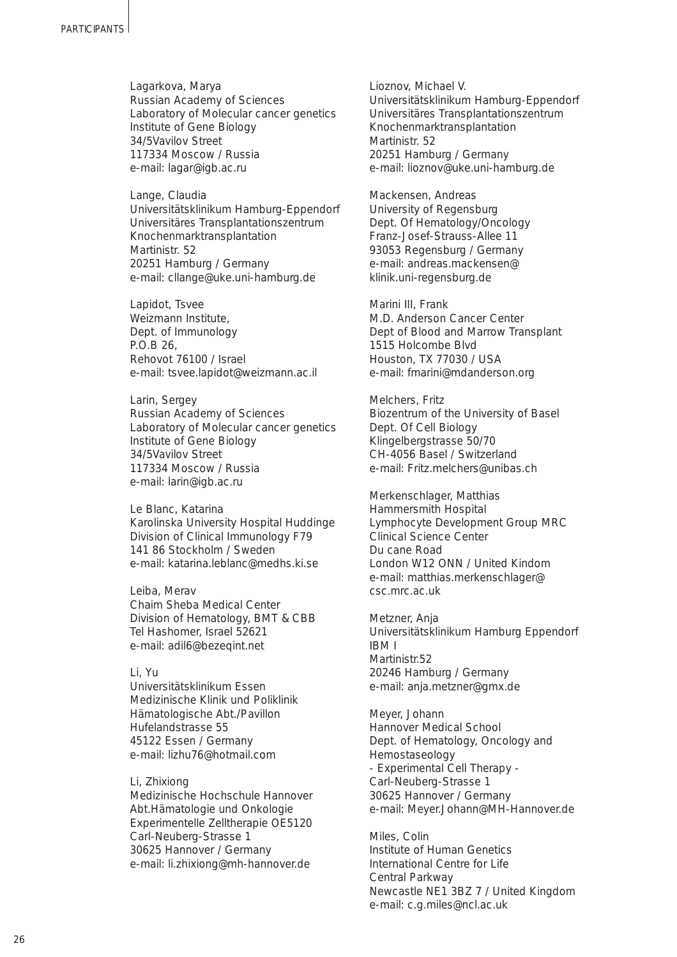Lagarkova, Marya Russian Academy of Sciences Laboratory of Molecular cancer genetics Institute of Gene Biology 34/5Vavilov Street 117334 Moscow / Russia e-mail: lagar@igb.ac.ru

Lange, Claudia Universitätsklinikum Hamburg-Eppendorf Universitäres Transplantationszentrum Knochenmarktransplantation Martinistr. 52 20251 Hamburg / Germany e-mail: cllange@uke.uni-hamburg.de

Lapidot, Tsvee Weizmann Institute, Dept. of Immunology P.O.B 26, Rehovot 76100 / Israel e-mail: tsvee.lapidot@weizmann.ac.il

Larin, Sergey Russian Academy of Sciences Laboratory of Molecular cancer genetics Institute of Gene Biology 34/5Vavilov Street 117334 Moscow / Russia e-mail: larin@igb.ac.ru

Le Blanc, Katarina Karolinska University Hospital Huddinge Division of Clinical Immunology F79 141 86 Stockholm / Sweden e-mail: katarina.leblanc@medhs.ki.se

Leiba, Merav Chaim Sheba Medical Center Division of Hematology, BMT & CBB Tel Hashomer, Israel 52621 e-mail: adil6@bezeqint.net

## Li, Yu

Universitätsklinikum Essen Medizinische Klinik und Poliklinik Hämatologische Abt./Pavillon Hufelandstrasse 55 45122 Essen / Germany e-mail: lizhu76@hotmail.com

## Li, Zhixiong

Medizinische Hochschule Hannover Abt.Hämatologie und Onkologie Experimentelle Zelltherapie OE5120 Carl-Neuberg-Strasse 1 30625 Hannover / Germany e-mail: li.zhixiong@mh-hannover.de

Lioznov, Michael V. Universitätsklinikum Hamburg-Eppendorf Universitäres Transplantationszentrum Knochenmarktransplantation Martinistr. 52 20251 Hamburg / Germany e-mail: lioznov@uke.uni-hamburg.de

Mackensen, Andreas University of Regensburg Dept. Of Hematology/Oncology Franz-Josef-Strauss-Allee 11 93053 Regensburg / Germany e-mail: andreas.mackensen@ klinik.uni-regensburg.de

Marini III, Frank M.D. Anderson Cancer Center Dept of Blood and Marrow Transplant 1515 Holcombe Blvd Houston, TX 77030 / USA e-mail: fmarini@mdanderson.org

Melchers, Fritz Biozentrum of the University of Basel Dept. Of Cell Biology Klingelbergstrasse 50/70 CH-4056 Basel / Switzerland e-mail: Fritz.melchers@unibas.ch

Merkenschlager, Matthias Hammersmith Hospital Lymphocyte Development Group MRC Clinical Science Center Du cane Road London W12 ONN / United Kindom e-mail: matthias.merkenschlager@ csc.mrc.ac.uk

Metzner, Anja Universitätsklinikum Hamburg Eppendorf IBM I Martinistr.52 20246 Hamburg / Germany e-mail: anja.metzner@gmx.de

Meyer, Johann Hannover Medical School Dept. of Hematology, Oncology and Hemostaseology - Experimental Cell Therapy - Carl-Neuberg-Strasse 1 30625 Hannover / Germany e-mail: Meyer.Johann@MH-Hannover.de

Miles, Colin Institute of Human Genetics International Centre for Life Central Parkway Newcastle NE1 3BZ 7 / United Kingdom e-mail: c.g.miles@ncl.ac.uk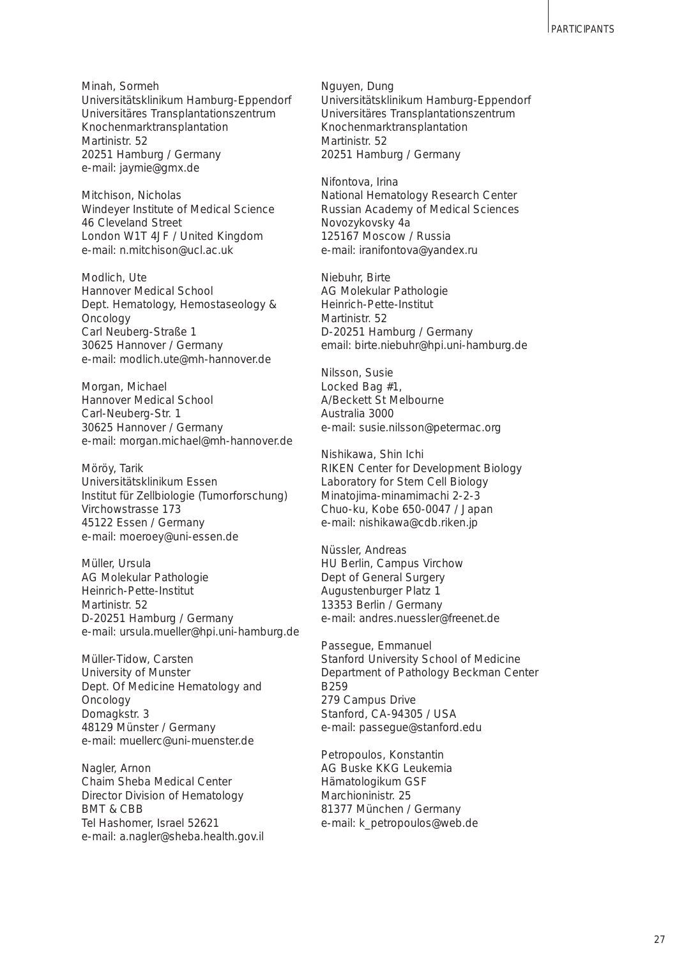Minah, Sormeh Universitätsklinikum Hamburg-Eppendorf Universitäres Transplantationszentrum Knochenmarktransplantation Martinistr. 52 20251 Hamburg / Germany e-mail: jaymie@gmx.de

Mitchison, Nicholas Windeyer Institute of Medical Science 46 Cleveland Street London W1T 4JF / United Kingdom e-mail: n.mitchison@ucl.ac.uk

Modlich, Ute Hannover Medical School Dept. Hematology, Hemostaseology & Oncology Carl Neuberg-Straße 1 30625 Hannover / Germany e-mail: modlich.ute@mh-hannover.de

Morgan, Michael Hannover Medical School Carl-Neuberg-Str. 1 30625 Hannover / Germany e-mail: morgan.michael@mh-hannover.de

Möröy, Tarik Universitätsklinikum Essen Institut für Zellbiologie (Tumorforschung) Virchowstrasse 173 45122 Essen / Germany e-mail: moeroey@uni-essen.de

Müller, Ursula AG Molekular Pathologie Heinrich-Pette-Institut Martinistr. 52 D-20251 Hamburg / Germany e-mail: ursula.mueller@hpi.uni-hamburg.de

Müller-Tidow, Carsten University of Munster Dept. Of Medicine Hematology and **Oncology** Domagkstr. 3 48129 Münster / Germany e-mail: muellerc@uni-muenster.de

Nagler, Arnon Chaim Sheba Medical Center Director Division of Hematology BMT & CBB Tel Hashomer, Israel 52621 e-mail: a.nagler@sheba.health.gov.il Nguyen, Dung Universitätsklinikum Hamburg-Eppendorf Universitäres Transplantationszentrum Knochenmarktransplantation Martinistr. 52 20251 Hamburg / Germany

Nifontova, Irina National Hematology Research Center Russian Academy of Medical Sciences Novozykovsky 4a 125167 Moscow / Russia e-mail: iranifontova@yandex.ru

Niebuhr, Birte AG Molekular Pathologie Heinrich-Pette-Institut Martinistr. 52 D-20251 Hamburg / Germany email: birte.niebuhr@hpi.uni-hamburg.de

Nilsson, Susie Locked Bag #1, A/Beckett St Melbourne Australia 3000 e-mail: susie.nilsson@petermac.org

Nishikawa, Shin Ichi RIKEN Center for Development Biology Laboratory for Stem Cell Biology Minatojima-minamimachi 2-2-3 Chuo-ku, Kobe 650-0047 / Japan e-mail: nishikawa@cdb.riken.jp

Nüssler, Andreas HU Berlin, Campus Virchow Dept of General Surgery Augustenburger Platz 1 13353 Berlin / Germany e-mail: andres.nuessler@freenet.de

Passegue, Emmanuel Stanford University School of Medicine Department of Pathology Beckman Center B259 279 Campus Drive Stanford, CA-94305 / USA e-mail: passegue@stanford.edu

Petropoulos, Konstantin AG Buske KKG Leukemia Hämatologikum GSF Marchioninistr. 25 81377 München / Germany e-mail: k\_petropoulos@web.de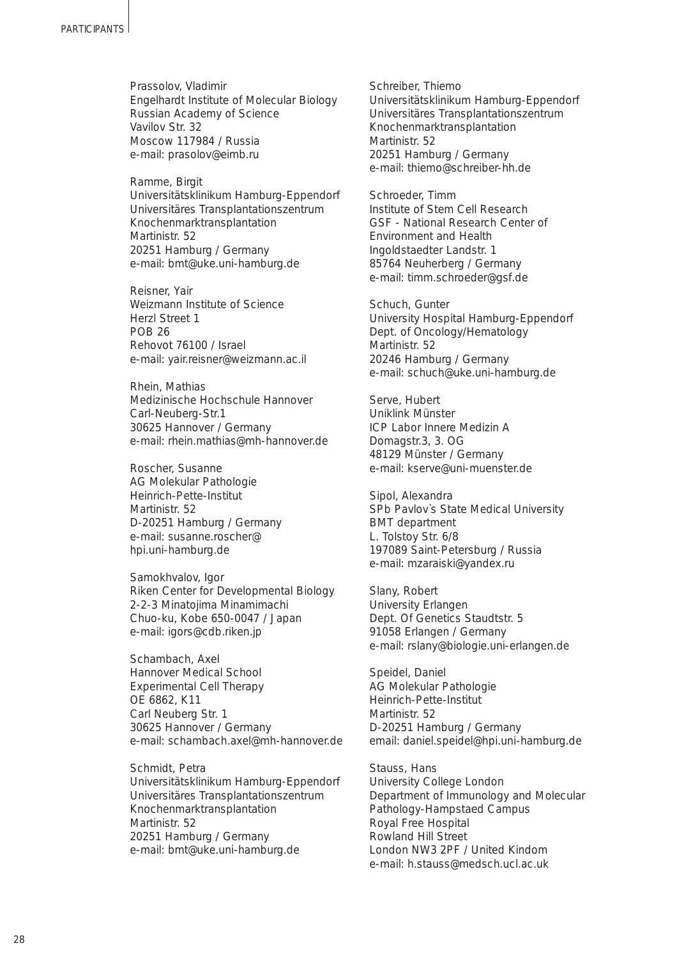Prassolov, Vladimir Engelhardt Institute of Molecular Biology Russian Academy of Science Vavilov Str. 32 Moscow 117984 / Russia e-mail: prasolov@eimb.ru

Ramme, Birgit Universitätsklinikum Hamburg-Eppendorf Universitäres Transplantationszentrum Knochenmarktransplantation Martinistr. 52 20251 Hamburg / Germany e-mail: bmt@uke.uni-hamburg.de

Reisner, Yair Weizmann Institute of Science Herzl Street 1 POB 26 Rehovot 76100 / Israel e-mail: yair.reisner@weizmann.ac.il

Rhein, Mathias Medizinische Hochschule Hannover Carl-Neuberg-Str.1 30625 Hannover / Germany e-mail: rhein.mathias@mh-hannover.de

Roscher, Susanne AG Molekular Pathologie Heinrich-Pette-Institut Martinistr. 52 D-20251 Hamburg / Germany e-mail: susanne.roscher@ hpi.uni-hamburg.de

Samokhvalov, Igor Riken Center for Developmental Biology 2-2-3 Minatojima Minamimachi Chuo-ku, Kobe 650-0047 / Japan e-mail: igors@cdb.riken.jp

Schambach, Axel Hannover Medical School Experimental Cell Therapy OE 6862, K11 Carl Neuberg Str. 1 30625 Hannover / Germany e-mail: schambach.axel@mh-hannover.de

Schmidt, Petra Universitätsklinikum Hamburg-Eppendorf Universitäres Transplantationszentrum Knochenmarktransplantation Martinistr. 52 20251 Hamburg / Germany e-mail: bmt@uke.uni-hamburg.de

Schreiber, Thiemo Universitätsklinikum Hamburg-Eppendorf Universitäres Transplantationszentrum Knochenmarktransplantation Martinistr. 52 20251 Hamburg / Germany e-mail: thiemo@schreiber-hh.de

Schroeder, Timm Institute of Stem Cell Research GSF - National Research Center of Environment and Health Ingoldstaedter Landstr. 1 85764 Neuherberg / Germany e-mail: timm.schroeder@gsf.de

Schuch, Gunter University Hospital Hamburg-Eppendorf Dept. of Oncology/Hematology Martinistr. 52 20246 Hamburg / Germany e-mail: schuch@uke.uni-hamburg.de

Serve, Hubert Uniklink Münster ICP Labor Innere Medizin A Domagstr.3, 3. OG 48129 Münster / Germany e-mail: kserve@uni-muenster.de

Sipol, Alexandra SPb Pavlov`s State Medical University BMT department L. Tolstoy Str. 6/8 197089 Saint-Petersburg / Russia e-mail: mzaraiski@yandex.ru

Slany, Robert University Erlangen Dept. Of Genetics Staudtstr. 5 91058 Erlangen / Germany e-mail: rslany@biologie.uni-erlangen.de

Speidel, Daniel AG Molekular Pathologie Heinrich-Pette-Institut Martinistr. 52 D-20251 Hamburg / Germany email: daniel.speidel@hpi.uni-hamburg.de

Stauss, Hans University College London Department of Immunology and Molecular Pathology-Hampstaed Campus Royal Free Hospital Rowland Hill Street London NW3 2PF / United Kindom e-mail: h.stauss@medsch.ucl.ac.uk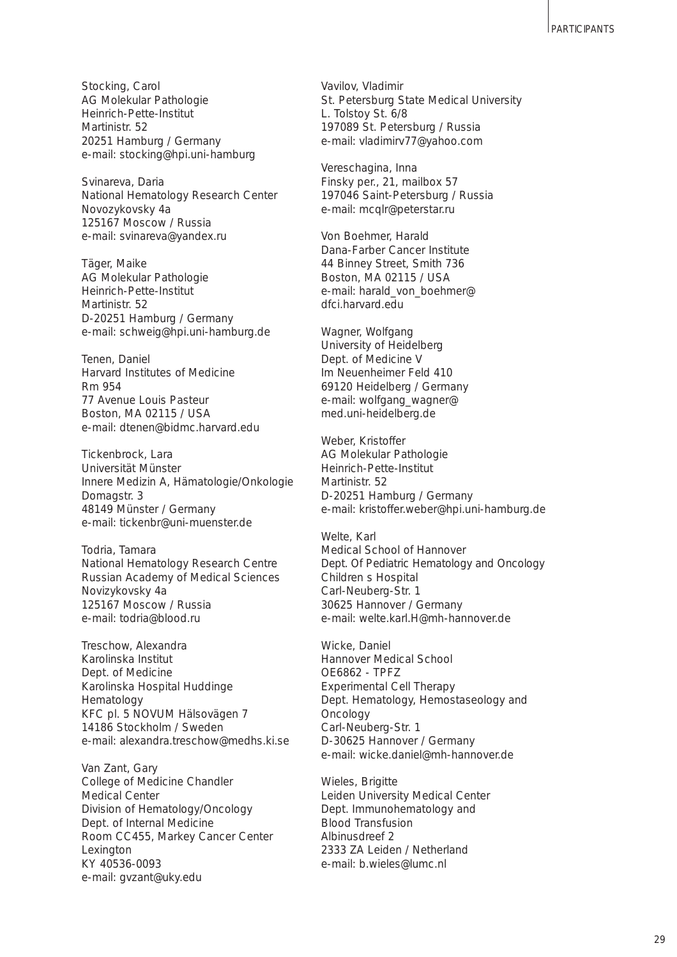Stocking, Carol AG Molekular Pathologie Heinrich-Pette-Institut Martinistr. 52 20251 Hamburg / Germany e-mail: stocking@hpi.uni-hamburg

Svinareva, Daria National Hematology Research Center Novozykovsky 4a 125167 Moscow / Russia e-mail: svinareva@yandex.ru

Täger, Maike AG Molekular Pathologie Heinrich-Pette-Institut Martinistr. 52 D-20251 Hamburg / Germany e-mail: schweig@hpi.uni-hamburg.de

Tenen, Daniel Harvard Institutes of Medicine Rm 954 77 Avenue Louis Pasteur Boston, MA 02115 / USA e-mail: dtenen@bidmc.harvard.edu

Tickenbrock, Lara Universität Münster Innere Medizin A, Hämatologie/Onkologie Domagstr. 3 48149 Münster / Germany e-mail: tickenbr@uni-muenster.de

Todria, Tamara National Hematology Research Centre Russian Academy of Medical Sciences Novizykovsky 4a 125167 Moscow / Russia e-mail: todria@blood.ru

Treschow, Alexandra Karolinska Institut Dept. of Medicine Karolinska Hospital Huddinge Hematology KFC pl. 5 NOVUM Hälsovägen 7 14186 Stockholm / Sweden e-mail: alexandra.treschow@medhs.ki.se

Van Zant, Gary College of Medicine Chandler Medical Center Division of Hematology/Oncology Dept. of Internal Medicine Room CC455, Markey Cancer Center Lexington KY 40536-0093 e-mail: gvzant@uky.edu

Vavilov, Vladimir St. Petersburg State Medical University L. Tolstoy St. 6/8 197089 St. Petersburg / Russia e-mail: vladimirv77@yahoo.com

Vereschagina, Inna Finsky per., 21, mailbox 57 197046 Saint-Petersburg / Russia e-mail: mcqlr@peterstar.ru

Von Boehmer, Harald Dana-Farber Cancer Institute 44 Binney Street, Smith 736 Boston, MA 02115 / USA e-mail: harald\_von\_boehmer@ dfci.harvard.edu

Wagner, Wolfgang University of Heidelberg Dept. of Medicine V Im Neuenheimer Feld 410 69120 Heidelberg / Germany e-mail: wolfgang\_wagner@ med.uni-heidelberg.de

Weber, Kristoffer AG Molekular Pathologie Heinrich-Pette-Institut Martinistr. 52 D-20251 Hamburg / Germany e-mail: kristoffer.weber@hpi.uni-hamburg.de

Welte, Karl Medical School of Hannover Dept. Of Pediatric Hematology and Oncology Children s Hospital Carl-Neuberg-Str. 1 30625 Hannover / Germany e-mail: welte.karl.H@mh-hannover.de

Wicke, Daniel Hannover Medical School OE6862 - TPFZ Experimental Cell Therapy Dept. Hematology, Hemostaseology and **Oncology** Carl-Neuberg-Str. 1 D-30625 Hannover / Germany e-mail: wicke.daniel@mh-hannover.de

Wieles, Brigitte Leiden University Medical Center Dept. Immunohematology and Blood Transfusion Albinusdreef 2 2333 ZA Leiden / Netherland e-mail: b.wieles@lumc.nl